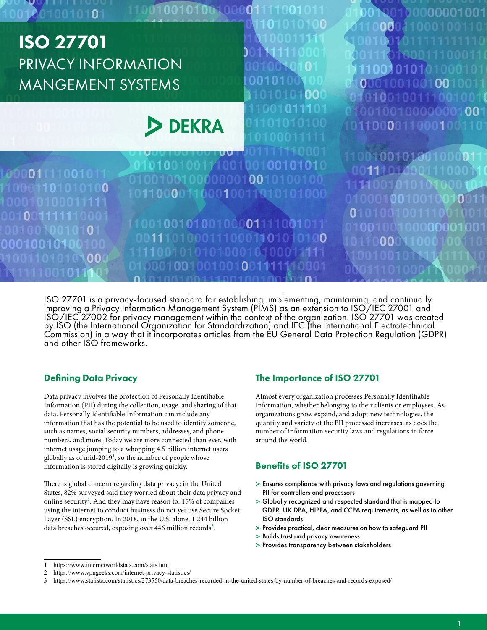

ISO 27701 is a privacy-focused standard for establishing, implementing, maintaining, and continually improving a Privacy Information Management System (PIMS) as an extension to ISO/IEC 27001 and ISO/IEC 27002 for privacy management within the context of the organization. ISO 27701 was created by ISO (the International Organization for Standardization) and IEC (the International Electrotechnical Commission) in a way that it incorporates articles from the EU General Data Protection Regulation (GDPR) and other ISO frameworks.

### Defining Data Privacy

Data privacy involves the protection of Personally Identifiable Information (PII) during the collection, usage, and sharing of that data. Personally Identifiable Information can include any information that has the potential to be used to identify someone, such as names, social security numbers, addresses, and phone numbers, and more. Today we are more connected than ever, with internet usage jumping to a whopping 4.5 billion internet users globally as of mid-2019<sup>1</sup>, so the number of people whose information is stored digitally is growing quickly.

There is global concern regarding data privacy; in the United States, 82% surveyed said they worried about their data privacy and online security<sup>2</sup>. And they may have reason to: 15% of companies using the internet to conduct business do not yet use Secure Socket Layer (SSL) encryption. In 2018, in the U.S. alone, 1.244 billion data breaches occured, exposing over 446 million records<sup>3</sup>.

### The Importance of ISO 27701

Almost every organization processes Personally Identifiable Information, whether belonging to their clients or employees. As organizations grow, expand, and adopt new technologies, the quantity and variety of the PII processed increases, as does the number of information security laws and regulations in force around the world.

#### Benefits of ISO 27701

- > Ensures compliance with privacy laws and regulations governing PII for controllers and processors
- > Globally recognized and respected standard that is mapped to GDPR, UK DPA, HIPPA, and CCPA requirements, as well as to other ISO standards
- > Provides practical, clear measures on how to safeguard PII
- > Builds trust and privacy awareness
- > Provides transparency between stakeholders

<sup>1</sup> https://www.internetworldstats.com/stats.htm

<sup>2</sup> https://www.vpngeeks.com/internet-privacy-statistics/

<sup>3</sup> https://www.statista.com/statistics/273550/data-breaches-recorded-in-the-united-states-by-number-of-breaches-and-records-exposed/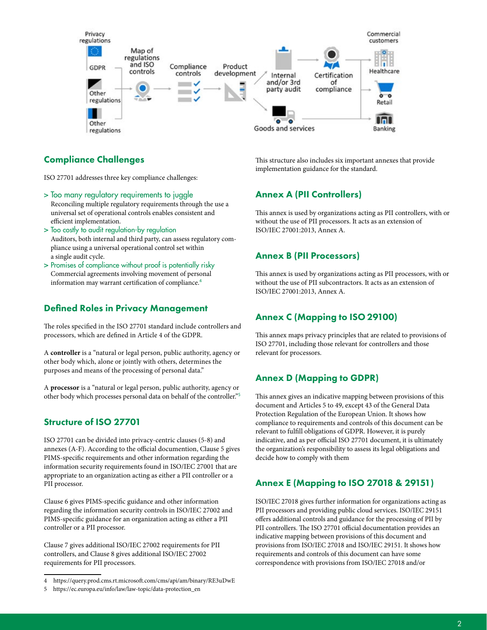

### Compliance Challenges

ISO 27701 addresses three key compliance challenges:

> Too many regulatory requirements to juggle

Reconciling multiple regulatory requirements through the use a universal set of operational controls enables consistent and efficient implementation.

- > Too costly to audit regulation-by regulation Auditors, both internal and third party, can assess regulatory compliance using a universal operational control set within a single audit cycle.
- > Promises of compliance without proof is potentially risky Commercial agreements involving movement of personal information may warrant certification of compliance.<sup>4</sup>

## Defined Roles in Privacy Management

The roles specified in the ISO 27701 standard include controllers and processors, which are defined in Article 4 of the GDPR.

A **controller** is a "natural or legal person, public authority, agency or other body which, alone or jointly with others, determines the purposes and means of the processing of personal data."

A **processor** is a "natural or legal person, public authority, agency or other body which processes personal data on behalf of the controller."<sup>5</sup>

### Structure of ISO 27701

ISO 27701 can be divided into privacy-centric clauses (5-8) and annexes (A-F). According to the official documention, Clause 5 gives PIMS-specific requirements and other information regarding the information security requirements found in ISO/IEC 27001 that are appropriate to an organization acting as either a PII controller or a PII processor.

Clause 6 gives PIMS-specific guidance and other information regarding the information security controls in ISO/IEC 27002 and PIMS-specific guidance for an organization acting as either a PII controller or a PII processor.

Clause 7 gives additional ISO/IEC 27002 requirements for PII controllers, and Clause 8 gives additional ISO/IEC 27002 requirements for PII processors.

This structure also includes six important annexes that provide implementation guidance for the standard.

## Annex A (PII Controllers)

This annex is used by organizations acting as PII controllers, with or without the use of PII processors. It acts as an extension of ISO/IEC 27001:2013, Annex A.

### Annex B (PII Processors)

This annex is used by organizations acting as PII processors, with or without the use of PII subcontractors. It acts as an extension of ISO/IEC 27001:2013, Annex A.

# Annex C (Mapping to ISO 29100)

This annex maps privacy principles that are related to provisions of ISO 27701, including those relevant for controllers and those relevant for processors.

### Annex D (Mapping to GDPR)

This annex gives an indicative mapping between provisions of this document and Articles 5 to 49, except 43 of the General Data Protection Regulation of the European Union. It shows how compliance to requirements and controls of this document can be relevant to fulfill obligations of GDPR. However, it is purely indicative, and as per official ISO 27701 document, it is ultimately the organization's responsibility to assess its legal obligations and decide how to comply with them

# Annex E (Mapping to ISO 27018 & 29151)

ISO/IEC 27018 gives further information for organizations acting as PII processors and providing public cloud services. ISO/IEC 29151 offers additional controls and guidance for the processing of PII by PII controllers. The ISO 27701 official documentation provides an indicative mapping between provisions of this document and provisions from ISO/IEC 27018 and ISO/IEC 29151. It shows how requirements and controls of this document can have some correspondence with provisions from ISO/IEC 27018 and/or

<sup>4</sup> https://query.prod.cms.rt.microsoft.com/cms/api/am/binary/RE3uDwE

<sup>5</sup> https://ec.europa.eu/info/law/law-topic/data-protection\_en